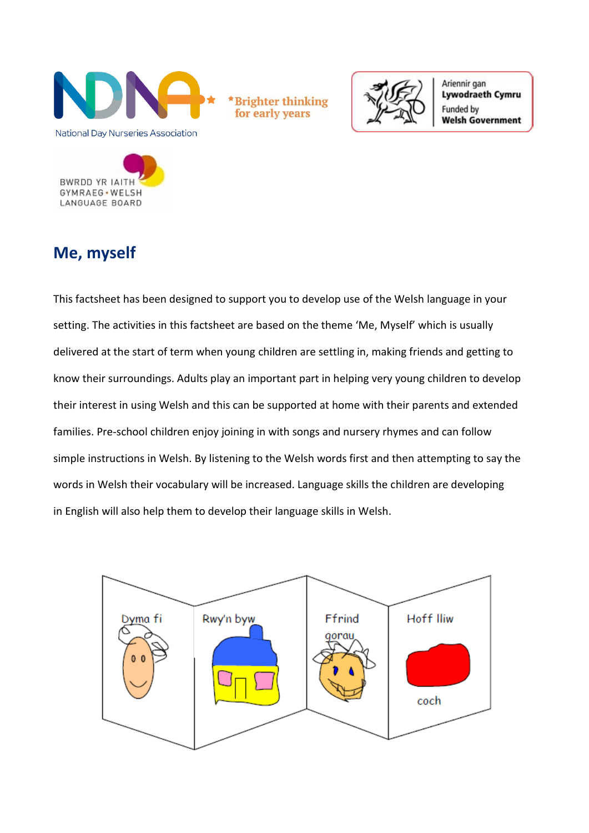

\*Brighter thinking for early years



Ariennir gan **Lywodraeth Cymru** Funded by **Welsh Government** 



# **Me, myself**

This factsheet has been designed to support you to develop use of the Welsh language in your setting. The activities in this factsheet are based on the theme 'Me, Myself' which is usually delivered at the start of term when young children are settling in, making friends and getting to know their surroundings. Adults play an important part in helping very young children to develop their interest in using Welsh and this can be supported at home with their parents and extended families. Pre-school children enjoy joining in with songs and nursery rhymes and can follow simple instructions in Welsh. By listening to the Welsh words first and then attempting to say the words in Welsh their vocabulary will be increased. Language skills the children are developing in English will also help them to develop their language skills in Welsh.

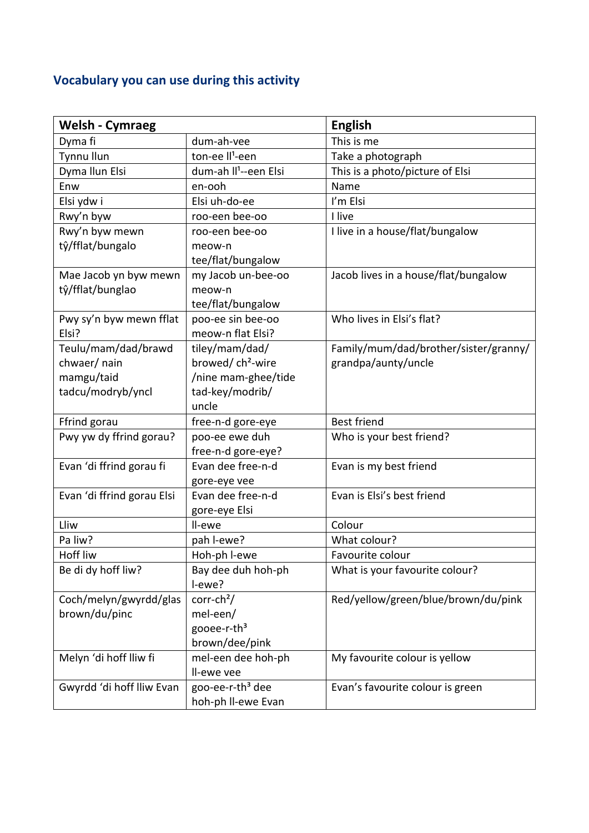## **Vocabulary you can use during this activity**

| <b>Welsh - Cymraeg</b>     |                                   | <b>English</b>                        |
|----------------------------|-----------------------------------|---------------------------------------|
| Dyma fi                    | dum-ah-vee                        | This is me                            |
| Tynnu llun                 | ton-ee II <sup>1</sup> -een       | Take a photograph                     |
| Dyma Ilun Elsi             | dum-ah II <sup>1</sup> --een Elsi | This is a photo/picture of Elsi       |
| Enw                        | en-ooh                            | Name                                  |
| Elsi ydw i                 | Elsi uh-do-ee                     | I'm Elsi                              |
| Rwy'n byw                  | roo-een bee-oo                    | I live                                |
| Rwy'n byw mewn             | roo-een bee-oo                    | I live in a house/flat/bungalow       |
| tŷ/fflat/bungalo           | meow-n                            |                                       |
|                            | tee/flat/bungalow                 |                                       |
| Mae Jacob yn byw mewn      | my Jacob un-bee-oo                | Jacob lives in a house/flat/bungalow  |
| tŷ/fflat/bunglao           | meow-n                            |                                       |
|                            | tee/flat/bungalow                 |                                       |
| Pwy sy'n byw mewn fflat    | poo-ee sin bee-oo                 | Who lives in Elsi's flat?             |
| Elsi?                      | meow-n flat Elsi?                 |                                       |
| Teulu/mam/dad/brawd        | tiley/mam/dad/                    | Family/mum/dad/brother/sister/granny/ |
| chwaer/ nain               | browed/ch <sup>2</sup> -wire      | grandpa/aunty/uncle                   |
| mamgu/taid                 | /nine mam-ghee/tide               |                                       |
| tadcu/modryb/yncl          | tad-key/modrib/                   |                                       |
|                            | uncle                             |                                       |
| Ffrind gorau               | free-n-d gore-eye                 | <b>Best friend</b>                    |
| Pwy yw dy ffrind gorau?    | poo-ee ewe duh                    | Who is your best friend?              |
|                            | free-n-d gore-eye?                |                                       |
| Evan 'di ffrind gorau fi   | Evan dee free-n-d                 | Evan is my best friend                |
|                            | gore-eye vee                      |                                       |
| Evan 'di ffrind gorau Elsi | Evan dee free-n-d                 | Evan is Elsi's best friend            |
|                            | gore-eye Elsi                     |                                       |
| Lliw                       | Il-ewe                            | Colour                                |
| Pa liw?                    | pah I-ewe?                        | What colour?                          |
| Hoff liw                   | Hoh-ph I-ewe                      | Favourite colour                      |
| Be di dy hoff liw?         | Bay dee duh hoh-ph                | What is your favourite colour?        |
|                            | l-ewe?                            |                                       |
| Coch/melyn/gwyrdd/glas     | $corr-ch2/$                       | Red/yellow/green/blue/brown/du/pink   |
| brown/du/pinc              | mel-een/                          |                                       |
|                            | gooee-r-th <sup>3</sup>           |                                       |
|                            | brown/dee/pink                    |                                       |
| Melyn 'di hoff lliw fi     | mel-een dee hoh-ph                | My favourite colour is yellow         |
|                            | Il-ewe vee                        |                                       |
| Gwyrdd 'di hoff lliw Evan  | goo-ee-r-th <sup>3</sup> dee      | Evan's favourite colour is green      |
|                            | hoh-ph II-ewe Evan                |                                       |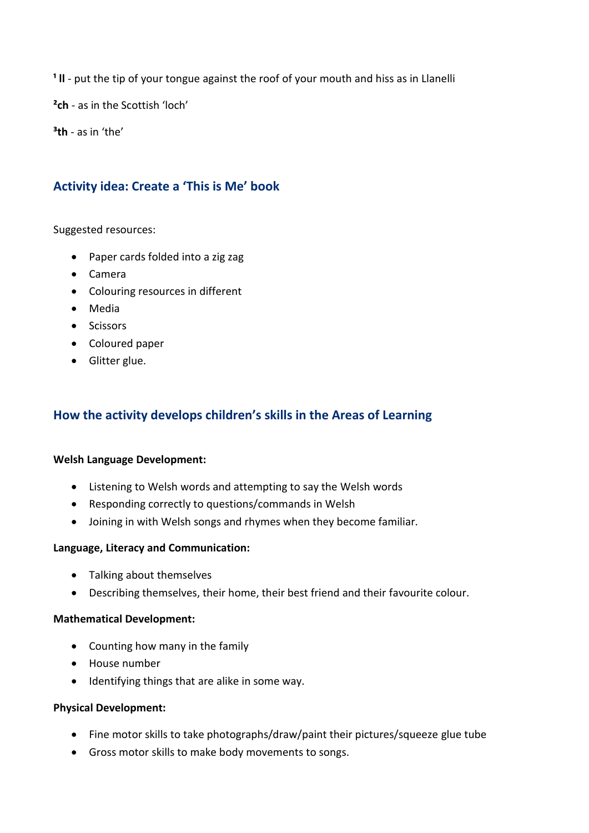<sup>1</sup> II - put the tip of your tongue against the roof of your mouth and hiss as in Llanelli

**²ch** - as in the Scottish 'loch'

**³th** - as in 'the'

## **Activity idea: Create a 'This is Me' book**

Suggested resources:

- Paper cards folded into a zig zag
- Camera
- Colouring resources in different
- Media
- Scissors
- Coloured paper
- Glitter glue.

### **How the activity develops children's skills in the Areas of Learning**

#### **Welsh Language Development:**

- Listening to Welsh words and attempting to say the Welsh words
- Responding correctly to questions/commands in Welsh
- Joining in with Welsh songs and rhymes when they become familiar.

#### **Language, Literacy and Communication:**

- Talking about themselves
- Describing themselves, their home, their best friend and their favourite colour.

#### **Mathematical Development:**

- Counting how many in the family
- House number
- Identifying things that are alike in some way.

#### **Physical Development:**

- Fine motor skills to take photographs/draw/paint their pictures/squeeze glue tube
- Gross motor skills to make body movements to songs.